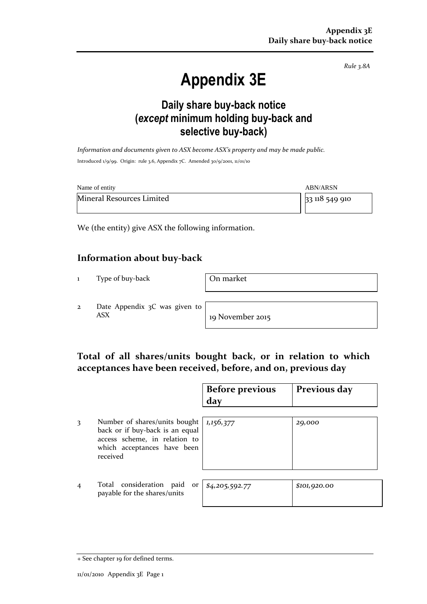*Rule 3.8A*

# **Appendix 3E**

# **Daily share buy-back notice (***except* **minimum holding buy-back and selective buy-back)**

*Information and documents given to ASX become ASX's property and may be made public.* Introduced 1/9/99. Origin: rule 3.6, Appendix 7C. Amended 30/9/2001, 11/01/10

| Name of entity            | <b>ABN/ARSN</b> |
|---------------------------|-----------------|
| Mineral Resources Limited | 33 118 549 910  |

We (the entity) give ASX the following information.

### **Information about buy-back**

1 Type of buy-back **On market** 

2 Date Appendix 3C was given to ASX 19 November 2015

## **Total of all shares/units bought back, or in relation to which acceptances have been received, before, and on, previous day**

|   |                                                                                                                                              | <b>Before previous</b><br>day | Previous day |
|---|----------------------------------------------------------------------------------------------------------------------------------------------|-------------------------------|--------------|
| 3 | Number of shares/units bought<br>back or if buy-back is an equal<br>access scheme, in relation to<br>which acceptances have been<br>received | 1,156,377                     | 29,000       |
|   | Total consideration<br>paid<br>or<br>payable for the shares/units                                                                            | \$4,205,592.77                | \$101,920.00 |

<sup>+</sup> See chapter 19 for defined terms.